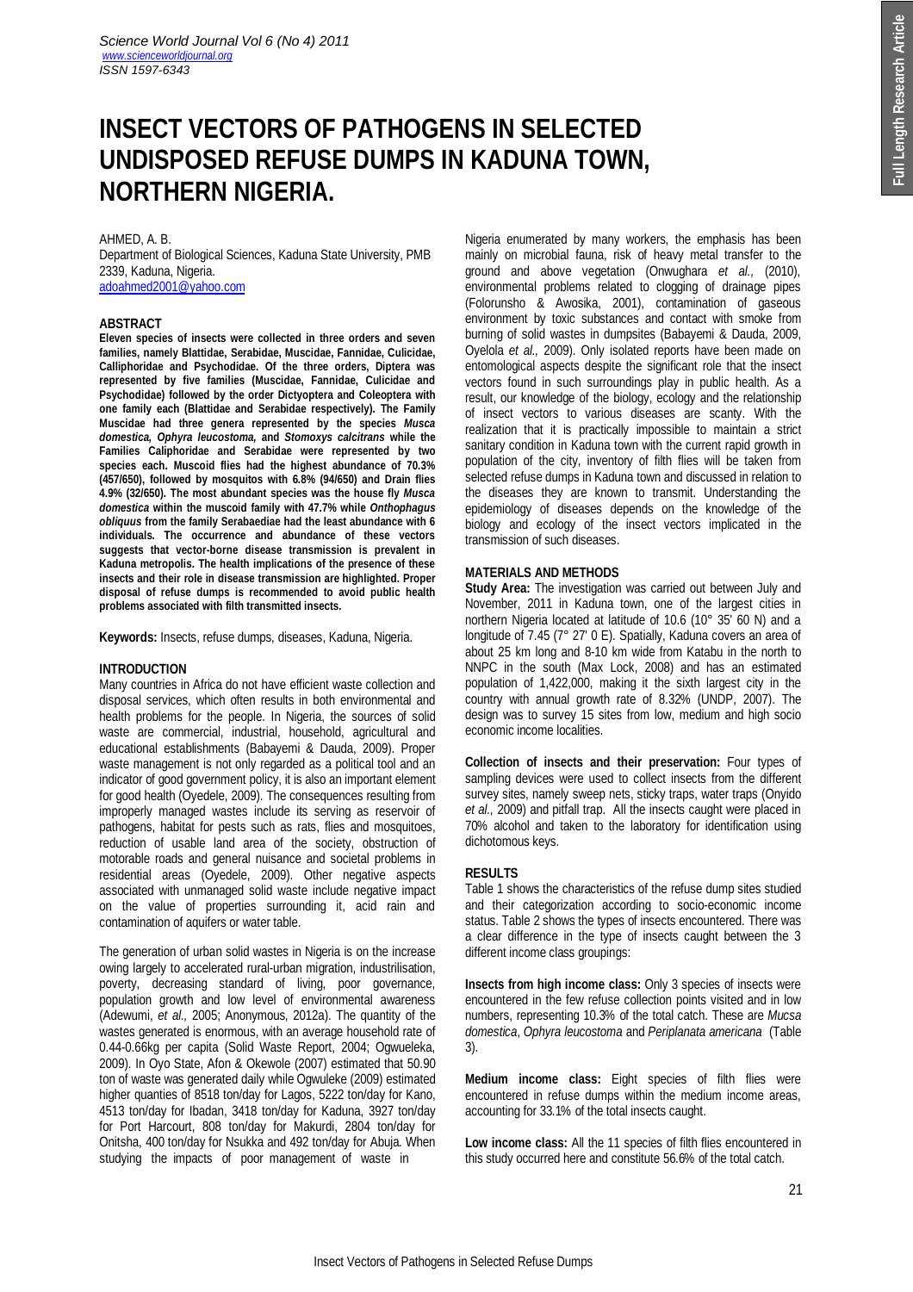# **INSECT VECTORS OF PATHOGENS IN SELECTED UNDISPOSED REFUSE DUMPS IN KADUNA TOWN, NORTHERN NIGERIA.**

### AHMED, A. B.

Department of Biological Sciences, Kaduna State University, PMB 2339, Kaduna, Nigeria. adoahmed2001@yahoo.com

**ABSTRACT**

**Eleven species of insects were collected in three orders and seven families, namely Blattidae, Serabidae, Muscidae, Fannidae, Culicidae, Calliphoridae and Psychodidae. Of the three orders, Diptera was represented by five families (Muscidae, Fannidae, Culicidae and Psychodidae) followed by the order Dictyoptera and Coleoptera with one family each (Blattidae and Serabidae respectively). The Family Muscidae had three genera represented by the species** *Musca domestica, Ophyra leucostoma,* **and** *Stomoxys calcitrans* **while the Families Caliphoridae and Serabidae were represented by two species each. Muscoid flies had the highest abundance of 70.3% (457/650), followed by mosquitos with 6.8% (94/650) and Drain flies 4.9% (32/650). The most abundant species was the house fly** *Musca domestica* **within the muscoid family with 47.7% while** *Onthophagus obliquus* **from the family Serabaediae had the least abundance with 6 individuals. The occurrence and abundance of these vectors suggests that vector-borne disease transmission is prevalent in Kaduna metropolis. The health implications of the presence of these insects and their role in disease transmission are highlighted. Proper disposal of refuse dumps is recommended to avoid public health problems associated with filth transmitted insects.**

**Keywords:** Insects, refuse dumps, diseases, Kaduna, Nigeria.

# **INTRODUCTION**

Many countries in Africa do not have efficient waste collection and disposal services, which often results in both environmental and health problems for the people. In Nigeria, the sources of solid waste are commercial, industrial, household, agricultural and educational establishments (Babayemi & Dauda, 2009). Proper waste management is not only regarded as a political tool and an indicator of good government policy, it is also an important element for good health (Oyedele, 2009). The consequences resulting from improperly managed wastes include its serving as reservoir of pathogens, habitat for pests such as rats, flies and mosquitoes, reduction of usable land area of the society, obstruction of motorable roads and general nuisance and societal problems in residential areas (Oyedele, 2009). Other negative aspects associated with unmanaged solid waste include negative impact on the value of properties surrounding it, acid rain and contamination of aquifers or water table.

The generation of urban solid wastes in Nigeria is on the increase owing largely to accelerated rural-urban migration, industrilisation, poverty, decreasing standard of living, poor governance, population growth and low level of environmental awareness (Adewumi, *et al.,* 2005; Anonymous, 2012a). The quantity of the wastes generated is enormous, with an average household rate of 0.44-0.66kg per capita (Solid Waste Report, 2004; Ogwueleka, 2009). In Oyo State, Afon & Okewole (2007) estimated that 50.90 ton of waste was generated daily while Ogwuleke (2009) estimated higher quanties of 8518 ton/day for Lagos, 5222 ton/day for Kano, 4513 ton/day for Ibadan, 3418 ton/day for Kaduna, 3927 ton/day for Port Harcourt, 808 ton/day for Makurdi, 2804 ton/day for Onitsha, 400 ton/day for Nsukka and 492 ton/day for Abuja. When studying the impacts of poor management of waste in

Nigeria enumerated by many workers, the emphasis has been mainly on microbial fauna, risk of heavy metal transfer to the ground and above vegetation (Onwughara *et al.,* (2010), environmental problems related to clogging of drainage pipes (Folorunsho & Awosika, 2001), contamination of gaseous environment by toxic substances and contact with smoke from burning of solid wastes in dumpsites (Babayemi & Dauda, 2009, Oyelola *et al.,* 2009). Only isolated reports have been made on entomological aspects despite the significant role that the insect vectors found in such surroundings play in public health. As a result, our knowledge of the biology, ecology and the relationship of insect vectors to various diseases are scanty. With the realization that it is practically impossible to maintain a strict sanitary condition in Kaduna town with the current rapid growth in population of the city, inventory of filth flies will be taken from selected refuse dumps in Kaduna town and discussed in relation to the diseases they are known to transmit. Understanding the epidemiology of diseases depends on the knowledge of the biology and ecology of the insect vectors implicated in the transmission of such diseases.

### **MATERIALS AND METHODS**

**Study Area:** The investigation was carried out between July and November, 2011 in Kaduna town, one of the largest cities in northern Nigeria located at latitude of 10.6 (10° 35' 60 N) and a longitude of 7.45 (7° 27' 0 E). Spatially, Kaduna covers an area of about 25 km long and 8-10 km wide from Katabu in the north to NNPC in the south (Max Lock, 2008) and has an estimated population of 1,422,000, making it the sixth largest city in the country with annual growth rate of 8.32% (UNDP, 2007). The design was to survey 15 sites from low, medium and high socio economic income localities.

**Collection of insects and their preservation:** Four types of sampling devices were used to collect insects from the different survey sites, namely sweep nets, sticky traps, water traps (Onyido *et al.,* 2009) and pitfall trap. All the insects caught were placed in 70% alcohol and taken to the laboratory for identification using dichotomous keys.

# **RESULTS**

Table 1 shows the characteristics of the refuse dump sites studied and their categorization according to socio-economic income status. Table 2 shows the types of insects encountered. There was a clear difference in the type of insects caught between the 3 different income class groupings:

**Insects from high income class:** Only 3 species of insects were encountered in the few refuse collection points visited and in low numbers, representing 10.3% of the total catch. These are *Mucsa domestica*, *Ophyra leucostoma* and *Periplanata americana* (Table 3).

**Medium income class:** Eight species of filth flies were encountered in refuse dumps within the medium income areas, accounting for 33.1% of the total insects caught.

**Low income class:** All the 11 species of filth flies encountered in this study occurred here and constitute 56.6% of the total catch.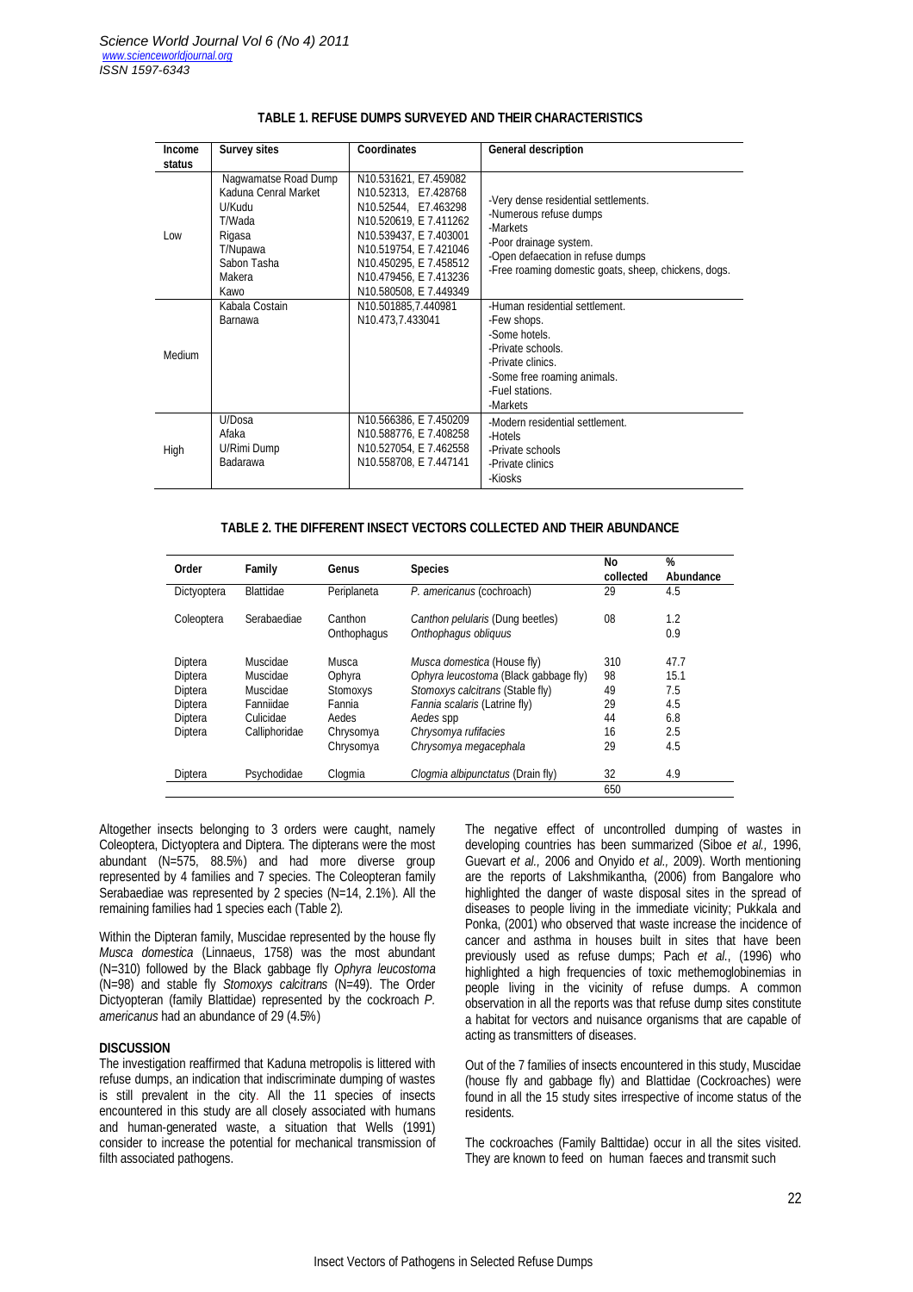| <b>Income</b><br>status | <b>Survey sites</b>                                                                                                     | <b>Coordinates</b>                                                                                                                                                                                                                | <b>General description</b>                                                                                                                                                                        |
|-------------------------|-------------------------------------------------------------------------------------------------------------------------|-----------------------------------------------------------------------------------------------------------------------------------------------------------------------------------------------------------------------------------|---------------------------------------------------------------------------------------------------------------------------------------------------------------------------------------------------|
| Low                     | Nagwamatse Road Dump<br>Kaduna Cenral Market<br>U/Kudu<br>T/Wada<br>Rigasa<br>T/Nupawa<br>Sabon Tasha<br>Makera<br>Kawo | N10.531621, E7.459082<br>N10.52313, E7.428768<br>N10.52544, E7.463298<br>N10.520619, E 7.411262<br>N10.539437, E 7.403001<br>N10.519754, E 7.421046<br>N10.450295, E 7.458512<br>N10.479456, E 7.413236<br>N10.580508, E 7.449349 | -Very dense residential settlements.<br>-Numerous refuse dumps<br>-Markets<br>-Poor drainage system.<br>-Open defaecation in refuse dumps<br>-Free roaming domestic goats, sheep, chickens, dogs. |
| Medium                  | Kabala Costain<br>Barnawa                                                                                               | N10.501885.7.440981<br>N10.473,7.433041                                                                                                                                                                                           | -Human residential settlement.<br>-Few shops.<br>-Some hotels.<br>-Private schools.<br>-Private clinics.<br>-Some free roaming animals.<br>-Fuel stations.<br>-Markets                            |
| High                    | U/Dosa<br>Afaka<br>U/Rimi Dump<br>Badarawa                                                                              | N10.566386, E 7.450209<br>N10.588776, E 7.408258<br>N10.527054, E 7.462558<br>N10.558708, E 7.447141                                                                                                                              | -Modern residential settlement.<br>-Hotels<br>-Private schools<br>-Private clinics<br>-Kiosks                                                                                                     |

# **TABLE 1. REFUSE DUMPS SURVEYED AND THEIR CHARACTERISTICS**

### **TABLE 2. THE DIFFERENT INSECT VECTORS COLLECTED AND THEIR ABUNDANCE**

| Order       | Family        | Genus           | <b>Species</b>                        | No<br>collected | %<br>Abundance |
|-------------|---------------|-----------------|---------------------------------------|-----------------|----------------|
| Dictyoptera | Blattidae     | Periplaneta     | P. americanus (cochroach)             | 29              | 4.5            |
| Coleoptera  | Serabaediae   | Canthon         | Canthon pelularis (Dung beetles)      | 08              | $1.2\,$        |
|             |               | Onthophagus     | Onthophagus obliquus                  |                 | 0.9            |
| Diptera     | Muscidae      | Musca           | Musca domestica (House fly)           | 310             | 47.7           |
| Diptera     | Muscidae      | Ophyra          | Ophyra leucostoma (Black gabbage fly) | 98              | 15.1           |
| Diptera     | Muscidae      | <b>Stomoxys</b> | Stomoxys calcitrans (Stable fly)      | 49              | 7.5            |
| Diptera     | Fanniidae     | Fannia          | Fannia scalaris (Latrine fly)         | 29              | 4.5            |
| Diptera     | Culicidae     | Aedes           | Aedes spp                             | 44              | 6.8            |
| Diptera     | Calliphoridae | Chrysomya       | Chrysomya rufifacies                  | 16              | 2.5            |
|             |               | Chrysomya       | Chrysomya megacephala                 | 29              | 4.5            |
| Diptera     | Psychodidae   | Clogmia         | Clogmia albipunctatus (Drain fly)     | 32              | 4.9            |
|             |               |                 |                                       | 650             |                |

Altogether insects belonging to 3 orders were caught, namely Coleoptera, Dictyoptera and Diptera. The dipterans were the most abundant (N=575, 88.5%) and had more diverse group represented by 4 families and 7 species. The Coleopteran family Serabaediae was represented by 2 species (N=14, 2.1%). All the remaining families had 1 species each (Table 2).

Within the Dipteran family, Muscidae represented by the house fly *Musca domestica* (Linnaeus, 1758) was the most abundant (N=310) followed by the Black gabbage fly *Ophyra leucostoma*  (N=98) and stable fly *Stomoxys calcitrans* (N=49). The Order Dictyopteran (family Blattidae) represented by the cockroach *P. americanus* had an abundance of 29 (4.5%)

# **DISCUSSION**

The investigation reaffirmed that Kaduna metropolis is littered with refuse dumps, an indication that indiscriminate dumping of wastes is still prevalent in the city. All the 11 species of insects encountered in this study are all closely associated with humans and human-generated waste, a situation that Wells (1991) consider to increase the potential for mechanical transmission of filth associated pathogens.

The negative effect of uncontrolled dumping of wastes in developing countries has been summarized (Siboe *et al.,* 1996, Guevart *et al.,* 2006 and Onyido *et al.,* 2009). Worth mentioning are the reports of Lakshmikantha, (2006) from Bangalore who highlighted the danger of waste disposal sites in the spread of diseases to people living in the immediate vicinity; Pukkala and Ponka, (2001) who observed that waste increase the incidence of cancer and asthma in houses built in sites that have been previously used as refuse dumps; Pach *et al*., (1996) who highlighted a high frequencies of toxic methemoglobinemias in people living in the vicinity of refuse dumps. A common observation in all the reports was that refuse dump sites constitute a habitat for vectors and nuisance organisms that are capable of acting as transmitters of diseases.

Out of the 7 families of insects encountered in this study, Muscidae (house fly and gabbage fly) and Blattidae (Cockroaches) were found in all the 15 study sites irrespective of income status of the residents.

The cockroaches (Family Balttidae) occur in all the sites visited. They are known to feed on human faeces and transmit such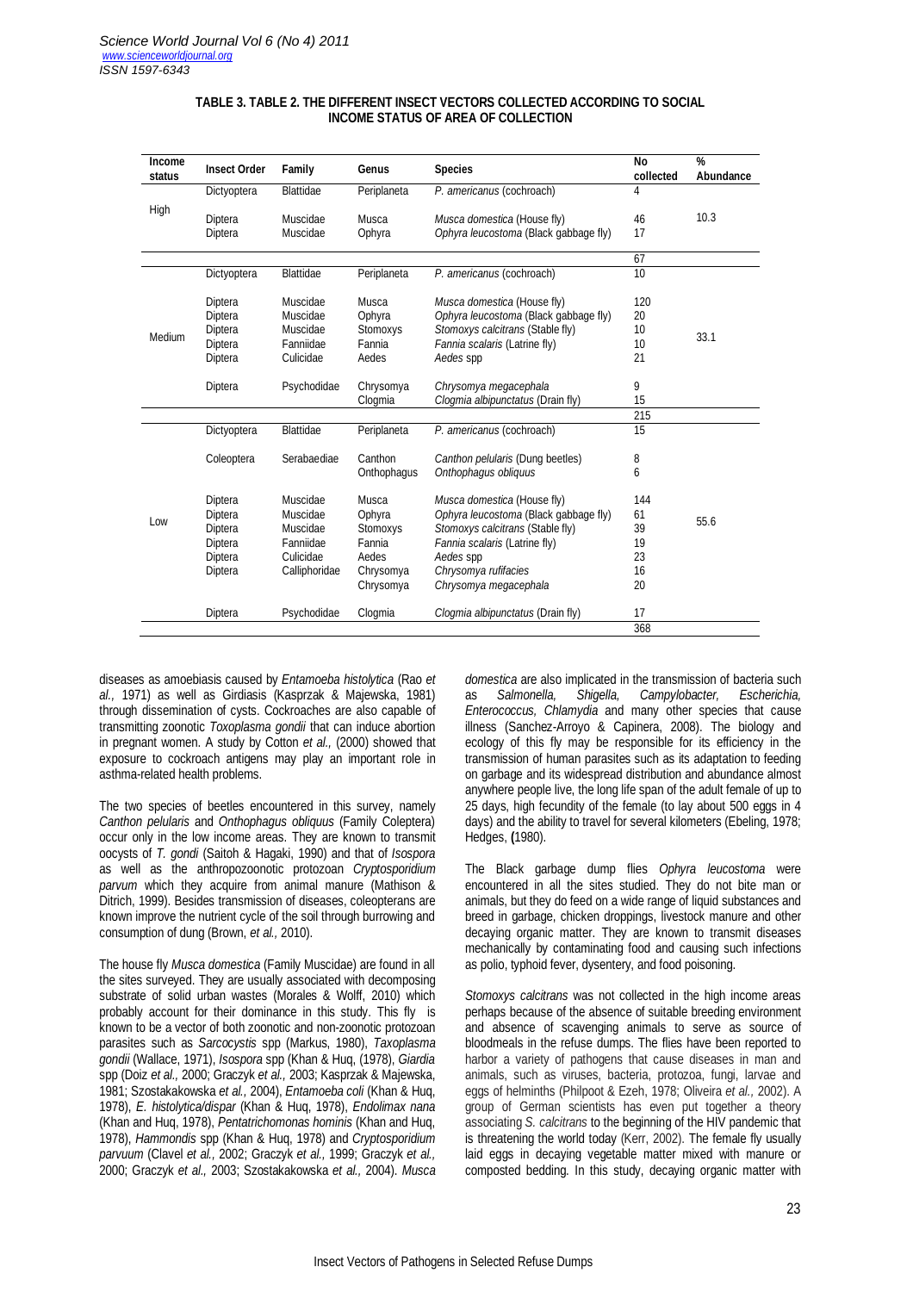| Income<br>status | <b>Insect Order</b> | Family           | Genus       | <b>Species</b>                        | No<br>collected | %<br>Abundance |  |
|------------------|---------------------|------------------|-------------|---------------------------------------|-----------------|----------------|--|
| High             | Dictyoptera         | <b>Blattidae</b> | Periplaneta | P. americanus (cochroach)             | 4               |                |  |
|                  | Diptera             | Muscidae         | Musca       | Musca domestica (House fly)           | 46              | 10.3           |  |
|                  | Diptera             | Muscidae         | Ophyra      | Ophyra leucostoma (Black gabbage fly) | 17              |                |  |
|                  |                     |                  |             |                                       | 67              |                |  |
|                  | Dictyoptera         | Blattidae        | Periplaneta | P. americanus (cochroach)             | 10              |                |  |
|                  | Diptera             | Muscidae         | Musca       | Musca domestica (House fly)           | 120             |                |  |
|                  | Diptera             | Muscidae         | Ophyra      | Ophyra leucostoma (Black gabbage fly) | 20              |                |  |
| Medium           | Diptera             | Muscidae         | Stomoxys    | Stomoxys calcitrans (Stable fly)      | 10              | 33.1           |  |
|                  | Diptera             | Fanniidae        | Fannia      | Fannia scalaris (Latrine fly)         | 10              |                |  |
|                  | Diptera             | Culicidae        | Aedes       | Aedes spp                             | 21              |                |  |
|                  | Diptera             | Psychodidae      | Chrysomya   | Chrysomya megacephala                 | 9               |                |  |
|                  |                     |                  | Clogmia     | Clogmia albipunctatus (Drain fly)     | 15              |                |  |
|                  |                     |                  |             |                                       | 215             |                |  |
|                  | Dictyoptera         | Blattidae        | Periplaneta | P. americanus (cochroach)             | 15              |                |  |
| Low              | Coleoptera          | Serabaediae      | Canthon     | Canthon pelularis (Dung beetles)      | 8               |                |  |
|                  |                     |                  | Onthophagus | Onthophagus obliquus                  | 6               |                |  |
|                  | Diptera             | Muscidae         | Musca       | Musca domestica (House fly)           | 144             |                |  |
|                  | Diptera             | Muscidae         | Ophyra      | Ophyra leucostoma (Black gabbage fly) | 61              |                |  |
|                  | Diptera             | Muscidae         | Stomoxys    | Stomoxys calcitrans (Stable fly)      | 39              | 55.6           |  |
|                  | Diptera             | Fanniidae        | Fannia      | Fannia scalaris (Latrine fly)         | 19              |                |  |
|                  | Diptera             | Culicidae        | Aedes       | Aedes spp                             | 23              |                |  |
|                  | Diptera             | Calliphoridae    | Chrysomya   | Chrysomya rufifacies                  | 16              |                |  |
|                  |                     |                  | Chrysomya   | Chrysomya megacephala                 | 20              |                |  |
|                  | Diptera             | Psychodidae      | Clogmia     | Clogmia albipunctatus (Drain fly)     | 17              |                |  |
|                  |                     |                  |             |                                       | 368             |                |  |

# **TABLE 3. TABLE 2. THE DIFFERENT INSECT VECTORS COLLECTED ACCORDING TO SOCIAL INCOME STATUS OF AREA OF COLLECTION**

diseases as amoebiasis caused by *Entamoeba histolytica* (Rao *et al.,* 1971) as well as Girdiasis (Kasprzak & Majewska, 1981) through dissemination of cysts. Cockroaches are also capable of transmitting zoonotic *Toxoplasma gondii* that can induce abortion in pregnant women. A study by Cotton *et al.,* (2000) showed that exposure to cockroach antigens may play an important role in asthma-related health problems.

The two species of beetles encountered in this survey, namely *Canthon pelularis* and *Onthophagus obliquus* (Family Coleptera) occur only in the low income areas. They are known to transmit oocysts of *T. gondi* (Saitoh & Hagaki, 1990) and that of *Isospora* as well as the anthropozoonotic protozoan *Cryptosporidium parvum* which they acquire from animal manure (Mathison & Ditrich, 1999). Besides transmission of diseases, coleopterans are known improve the nutrient cycle of the soil through burrowing and consumption of dung (Brown, *et al.,* 2010).

The house fly *Musca domestica* (Family Muscidae) are found in all the sites surveyed. They are usually associated with decomposing substrate of solid urban wastes (Morales & Wolff, 2010) which probably account for their dominance in this study. This fly is known to be a vector of both zoonotic and non-zoonotic protozoan parasites such as *Sarcocystis* spp (Markus, 1980), *Taxoplasma gondii* (Wallace, 1971), *Isospora* spp (Khan & Huq, (1978), *Giardia* spp (Doiz *et al.,* 2000; Graczyk *et al.,* 2003; Kasprzak & Majewska, 1981; Szostakakowska *et al.,* 2004), *Entamoeba coli* (Khan & Huq, 1978), *E. histolytica/dispar* (Khan & Huq, 1978), *Endolimax nana* (Khan and Huq, 1978), *Pentatrichomonas hominis* (Khan and Huq, 1978), *Hammondis* spp (Khan & Huq, 1978) and *Cryptosporidium parvuum* (Clavel *et al.,* 2002; Graczyk *et al.,* 1999; Graczyk *et al.,* 2000; Graczyk *et al.,* 2003; Szostakakowska *et al.,* 2004). *Musca* 

*domestica* are also implicated in the transmission of bacteria such as *Salmonella, Shigella, Campylobacter, Enterococcus, Chlamydia* and many other species that cause illness (Sanchez-Arroyo & Capinera, 2008). The biology and ecology of this fly may be responsible for its efficiency in the transmission of human parasites such as its adaptation to feeding on garbage and its widespread distribution and abundance almost anywhere people live, the long life span of the adult female of up to 25 days, high fecundity of the female (to lay about 500 eggs in 4 days) and the ability to travel for several kilometers (Ebeling, 1978; Hedges, **(**1980).

The Black garbage dump flies *Ophyra leucostoma* were encountered in all the sites studied. They do not bite man or animals, but they do feed on a wide range of liquid substances and breed in garbage, chicken droppings, livestock manure and other decaying organic matter. They are known to transmit diseases mechanically by contaminating food and causing such infections as polio, typhoid fever, dysentery, and food poisoning.

*Stomoxys calcitrans* was not collected in the high income areas perhaps because of the absence of suitable breeding environment and absence of scavenging animals to serve as source of bloodmeals in the refuse dumps. The flies have been reported to harbor a variety of pathogens that cause diseases in man and animals, such as viruses, bacteria, protozoa, fungi, larvae and eggs of helminths (Philpoot & Ezeh, 1978; Oliveira *et al.,* 2002). A group of German scientists has even put together a theory associating *S. calcitrans* to the beginning of the HIV pandemic that is threatening the world today (Kerr, 2002). The female fly usually laid eggs in decaying vegetable matter mixed with manure or composted bedding. In this study, decaying organic matter with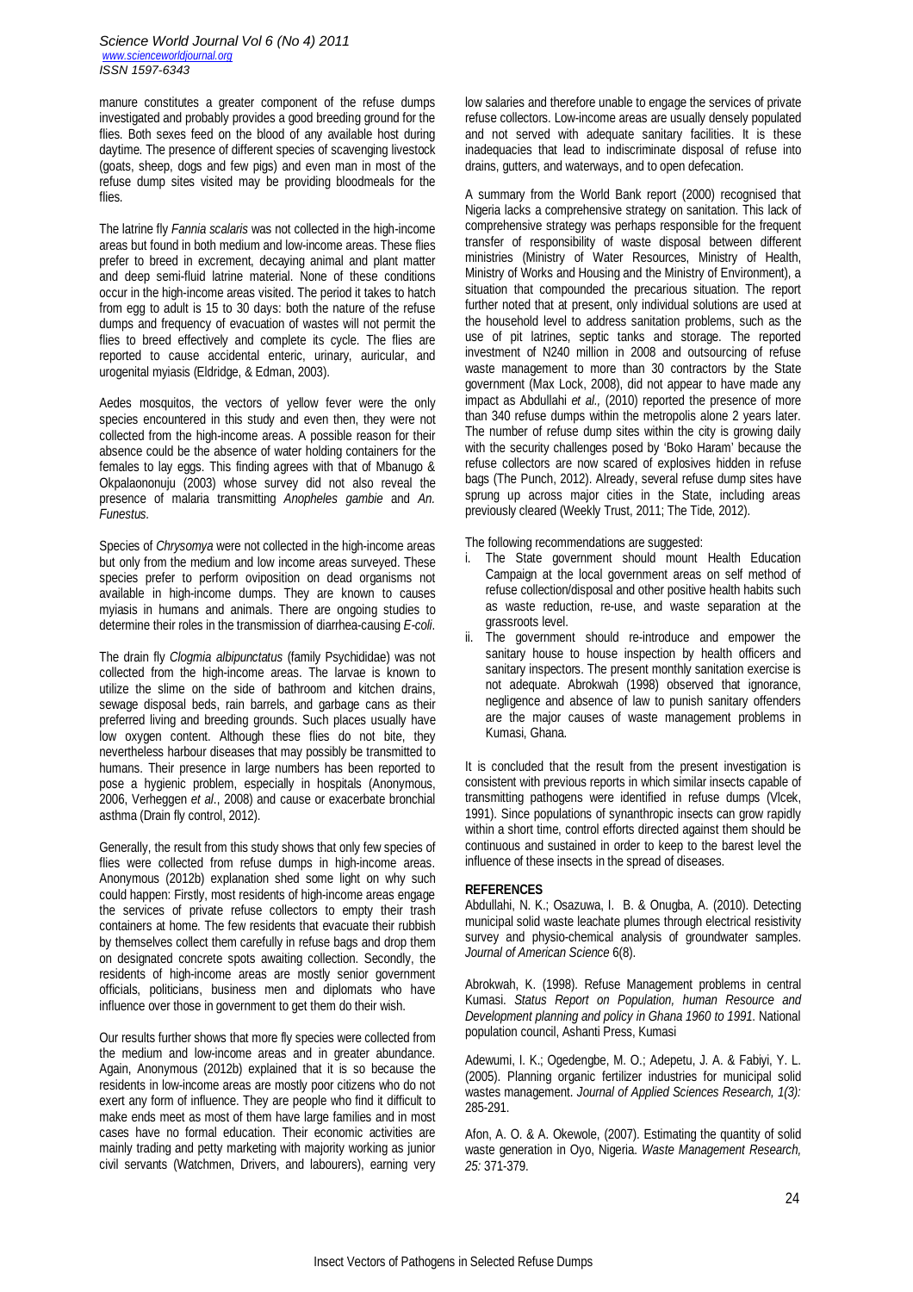manure constitutes a greater component of the refuse dumps investigated and probably provides a good breeding ground for the flies. Both sexes feed on the blood of any available host during daytime. The presence of different species of scavenging livestock (goats, sheep, dogs and few pigs) and even man in most of the refuse dump sites visited may be providing bloodmeals for the flies.

The latrine fly *Fannia scalaris* was not collected in the high-income areas but found in both medium and low-income areas. These flies prefer to breed in excrement, decaying animal and plant matter and deep semi-fluid latrine material. None of these conditions occur in the high-income areas visited. The period it takes to hatch from egg to adult is 15 to 30 days: both the nature of the refuse dumps and frequency of evacuation of wastes will not permit the flies to breed effectively and complete its cycle. The flies are reported to cause accidental enteric, urinary, auricular, and urogenital myiasis (Eldridge, & Edman, 2003).

Aedes mosquitos, the vectors of yellow fever were the only species encountered in this study and even then, they were not collected from the high-income areas. A possible reason for their absence could be the absence of water holding containers for the females to lay eggs. This finding agrees with that of Mbanugo & Okpalaononuju (2003) whose survey did not also reveal the presence of malaria transmitting *Anopheles gambie* and *An. Funestus.* 

Species of *Chrysomya* were not collected in the high-income areas but only from the medium and low income areas surveyed. These species prefer to perform oviposition on dead organisms not available in high-income dumps. They are known to causes myiasis in humans and animals. There are ongoing studies to determine their roles in the transmission of diarrhea-causing *E-coli*.

The drain fly *Clogmia albipunctatus* (family Psychididae) was not collected from the high-income areas. The larvae is known to utilize the slime on the side of bathroom and kitchen drains, sewage disposal beds, rain barrels, and garbage cans as their preferred living and breeding grounds. Such places usually have low oxygen content. Although these flies do not bite, they nevertheless harbour diseases that may possibly be transmitted to humans. Their presence in large numbers has been reported to pose a hygienic problem, especially in hospitals (Anonymous, 2006, Verheggen *et al*., 2008) and cause or exacerbate bronchial asthma (Drain fly control, 2012).

Generally, the result from this study shows that only few species of flies were collected from refuse dumps in high-income areas. Anonymous (2012b) explanation shed some light on why such could happen: Firstly, most residents of high-income areas engage the services of private refuse collectors to empty their trash containers at home. The few residents that evacuate their rubbish by themselves collect them carefully in refuse bags and drop them on designated concrete spots awaiting collection. Secondly, the residents of high-income areas are mostly senior government officials, politicians, business men and diplomats who have influence over those in government to get them do their wish.

Our results further shows that more fly species were collected from the medium and low-income areas and in greater abundance. Again, Anonymous (2012b) explained that it is so because the residents in low-income areas are mostly poor citizens who do not exert any form of influence. They are people who find it difficult to make ends meet as most of them have large families and in most cases have no formal education. Their economic activities are mainly trading and petty marketing with majority working as junior civil servants (Watchmen, Drivers, and labourers), earning very low salaries and therefore unable to engage the services of private refuse collectors. Low-income areas are usually densely populated and not served with adequate sanitary facilities. It is these inadequacies that lead to indiscriminate disposal of refuse into drains, gutters, and waterways, and to open defecation.

A summary from the World Bank report (2000) recognised that Nigeria lacks a comprehensive strategy on sanitation. This lack of comprehensive strategy was perhaps responsible for the frequent transfer of responsibility of waste disposal between different ministries (Ministry of Water Resources, Ministry of Health, Ministry of Works and Housing and the Ministry of Environment), a situation that compounded the precarious situation. The report further noted that at present, only individual solutions are used at the household level to address sanitation problems, such as the use of pit latrines, septic tanks and storage. The reported investment of N240 million in 2008 and outsourcing of refuse waste management to more than 30 contractors by the State government (Max Lock, 2008), did not appear to have made any impact as Abdullahi *et al.,* (2010) reported the presence of more than 340 refuse dumps within the metropolis alone 2 years later. The number of refuse dump sites within the city is growing daily with the security challenges posed by 'Boko Haram' because the refuse collectors are now scared of explosives hidden in refuse bags (The Punch, 2012). Already, several refuse dump sites have sprung up across major cities in the State, including areas previously cleared (Weekly Trust, 2011; The Tide, 2012).

The following recommendations are suggested:

- The State government should mount Health Education Campaign at the local government areas on self method of refuse collection/disposal and other positive health habits such as waste reduction, re-use, and waste separation at the grassroots level.
- ii. The government should re-introduce and empower the sanitary house to house inspection by health officers and sanitary inspectors. The present monthly sanitation exercise is not adequate. Abrokwah (1998) observed that ignorance, negligence and absence of law to punish sanitary offenders are the major causes of waste management problems in Kumasi, Ghana.

It is concluded that the result from the present investigation is consistent with previous reports in which similar insects capable of transmitting pathogens were identified in refuse dumps (Vlcek, 1991). Since populations of synanthropic insects can grow rapidly within a short time, control efforts directed against them should be continuous and sustained in order to keep to the barest level the influence of these insects in the spread of diseases.

# **REFERENCES**

Abdullahi, N. K.; Osazuwa, I. B. & Onugba, A. (2010). Detecting municipal solid waste leachate plumes through electrical resistivity survey and physio-chemical analysis of groundwater samples. *Journal of American Science* 6(8).

Abrokwah, K. (1998). Refuse Management problems in central Kumasi. *Status Report on Population, human Resource and Development planning and policy in Ghana 1960 to 1991*. National population council, Ashanti Press, Kumasi

Adewumi, I. K.; Ogedengbe, M. O.; Adepetu, J. A. & Fabiyi, Y. L. (2005). Planning organic fertilizer industries for municipal solid wastes management. *Journal of Applied Sciences Research, 1(3):* 285-291.

Afon, A. O. & A. Okewole, (2007). Estimating the quantity of solid waste generation in Oyo, Nigeria. *Waste Management Research, 25:* 371-379.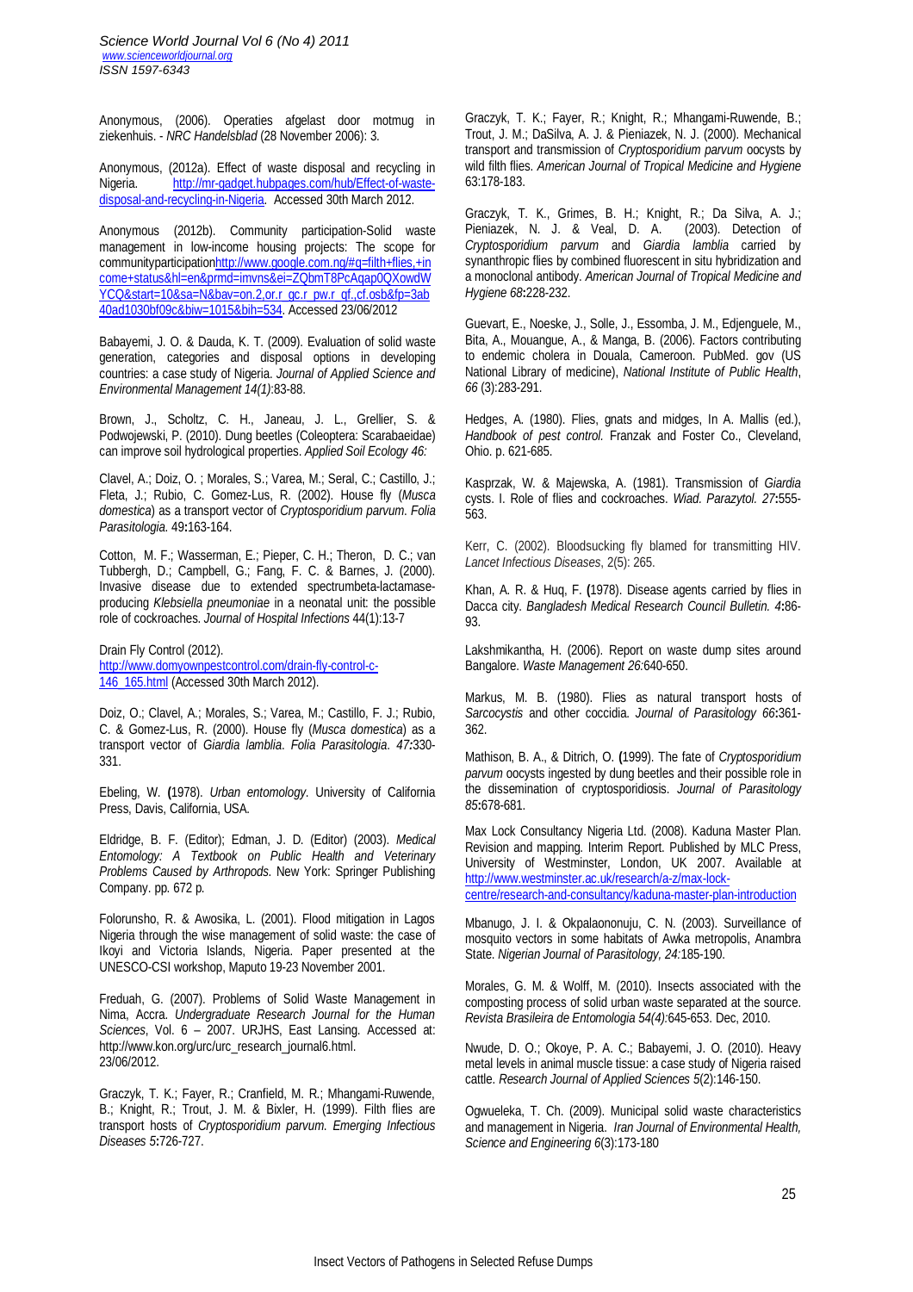*Science World Journal Vol 6 (No 4) 2011 www.scienceworldjournal.org ISSN 1597-6343*

Anonymous, (2006). Operaties afgelast door motmug in ziekenhuis. - *NRC Handelsblad* (28 November 2006): 3.

Anonymous, (2012a). Effect of waste disposal and recycling in Nigeria. http://mr-gadget.hubpages.com/hub/Effect-of-wastedisposal-and-recycling-in-Nigeria. Accessed 30th March 2012.

Anonymous (2012b). Community participation-Solid waste management in low-income housing projects: The scope for communityparticipationhttp://www.google.com.ng/#q=filth+flies,+in come+status&hl=en&prmd=imvns&ei=ZQbmT8PcAqap0QXowdW YCQ&start=10&sa=N&bav=on.2,or.r\_gc.r\_pw.r\_qf.,cf.osb&fp=3ab 40ad1030bf09c&biw=1015&bih=534. Accessed 23/06/2012

Babayemi, J. O. & Dauda, K. T. (2009). Evaluation of solid waste generation, categories and disposal options in developing countries: a case study of Nigeria. *Journal of Applied Science and Environmental Management 14(1)*:83-88.

Brown, J., Scholtz, C. H., Janeau, J. L., Grellier, S. & Podwojewski, P. (2010). Dung beetles (Coleoptera: Scarabaeidae) can improve soil hydrological properties. *Applied Soil Ecology 46:*

Clavel, A.; Doiz, O. ; Morales, S.; Varea, M.; Seral, C.; Castillo, J.; Fleta, J.; Rubio, C. Gomez-Lus, R. (2002). House fly (*Musca domestica*) as a transport vector of *Cryptosporidium parvum*. *Folia Parasitologia*. 49**:**163-164.

Cotton, M. F.; Wasserman, E.; Pieper, C. H.; Theron, D. C.; van Tubbergh, D.; Campbell, G.; Fang, F. C. & Barnes, J. (2000). Invasive disease due to extended spectrumbeta-lactamaseproducing *Klebsiella pneumoniae* in a neonatal unit: the possible role of cockroaches. *Journal of Hospital Infections* 44(1):13-7

Drain Fly Control (2012). http://www.domyownpestcontrol.com/drain-fly-control-c-146\_165.html (Accessed 30th March 2012).

Doiz, O.; Clavel, A.; Morales, S.; Varea, M.; Castillo, F. J.; Rubio, C. & Gomez-Lus, R. (2000). House fly (*Musca domestica*) as a transport vector of *Giardia lamblia*. *Folia Parasitologia*. *47:*330- 331.

Ebeling, W. **(**1978). *Urban entomology*. University of California Press, Davis, California, USA.

Eldridge, B. F. (Editor); Edman, J. D. (Editor) (2003). *Medical Entomology: A Textbook on Public Health and Veterinary Problems Caused by Arthropods*. New York: Springer Publishing Company. pp. 672 p.

Folorunsho, R. & Awosika, L. (2001). Flood mitigation in Lagos Nigeria through the wise management of solid waste: the case of Ikoyi and Victoria Islands, Nigeria. Paper presented at the UNESCO-CSI workshop, Maputo 19-23 November 2001.

Freduah, G. (2007). Problems of Solid Waste Management in Nima, Accra. *Undergraduate Research Journal for the Human Sciences*, Vol. 6 – 2007. URJHS, East Lansing. Accessed at: http://www.kon.org/urc/urc\_research\_journal6.html. 23/06/2012.

Graczyk, T. K.; Fayer, R.; Cranfield, M. R.; Mhangami-Ruwende, B.; Knight, R.; Trout, J. M. & Bixler, H. (1999). Filth flies are transport hosts of *Cryptosporidium parvum*. *Emerging Infectious Diseases 5***:**726-727.

Graczyk, T. K.; Fayer, R.; Knight, R.; Mhangami-Ruwende, B.; Trout, J. M.; DaSilva, A. J. & Pieniazek, N. J. (2000). Mechanical transport and transmission of *Cryptosporidium parvum* oocysts by wild filth flies. *American Journal of Tropical Medicine and Hygiene* 63:178-183.

Graczyk, T. K., Grimes, B. H.; Knight, R.; Da Silva, A. J.; Pieniazek, N. J. & Veal, D. A. (2003). Detection of *Cryptosporidium parvum* and *Giardia lamblia* carried by synanthropic flies by combined fluorescent in situ hybridization and a monoclonal antibody. *American Journal of Tropical Medicine and Hygiene 68***:**228-232.

Guevart, E., Noeske, J., Solle, J., Essomba, J. M., Edjenguele, M., Bita, A., Mouangue, A., & Manga, B. (2006). Factors contributing to endemic cholera in Douala, Cameroon. PubMed. gov (US National Library of medicine), *National Institute of Public Health*, *66* (3):283-291.

Hedges, A. (1980). Flies, gnats and midges, In A. Mallis (ed.), *Handbook of pest control.* Franzak and Foster Co., Cleveland, Ohio. p. 621-685.

Kasprzak, W. & Majewska, A. (1981). Transmission of *Giardia* cysts. I. Role of flies and cockroaches. *Wiad. Parazytol. 27***:**555- 563.

Kerr, C. (2002). Bloodsucking fly blamed for transmitting HIV. *Lancet Infectious Diseases*, 2(5): 265.

Khan, A. R. & Huq, F. **(**1978). Disease agents carried by flies in Dacca city. *Bangladesh Medical Research Council Bulletin. 4***:**86- 93.

Lakshmikantha, H. (2006). Report on waste dump sites around Bangalore. *Waste Management 26:*640-650.

Markus, M. B. (1980). Flies as natural transport hosts of *Sarcocystis* and other coccidia. *Journal of Parasitology 66***:**361- 362.

Mathison, B. A., & Ditrich, O. **(**1999). The fate of *Cryptosporidium parvum* oocysts ingested by dung beetles and their possible role in the dissemination of cryptosporidiosis. *Journal of Parasitology 85***:**678-681.

Max Lock Consultancy Nigeria Ltd. (2008). Kaduna Master Plan. Revision and mapping. Interim Report. Published by MLC Press, University of Westminster, London, UK 2007. Available at http://www.westminster.ac.uk/research/a-z/max-lock-

centre/research-and-consultancy/kaduna-master-plan-introduction

Mbanugo, J. I. & Okpalaononuju, C. N. (2003). Surveillance of mosquito vectors in some habitats of Awka metropolis, Anambra State. *Nigerian Journal of Parasitology, 24:*185-190.

Morales, G. M. & Wolff, M. (2010). Insects associated with the composting process of solid urban waste separated at the source. *Revista Brasileira de Entomologia 54(4):*645-653. Dec, 2010.

Nwude, D. O.; Okoye, P. A. C.; Babayemi, J. O. (2010). Heavy metal levels in animal muscle tissue: a case study of Nigeria raised cattle. *Research Journal of Applied Sciences 5*(2):146-150.

Ogwueleka, T. Ch. (2009). Municipal solid waste characteristics and management in Nigeria. *Iran Journal of Environmental Health, Science and Engineering 6*(3):173-180